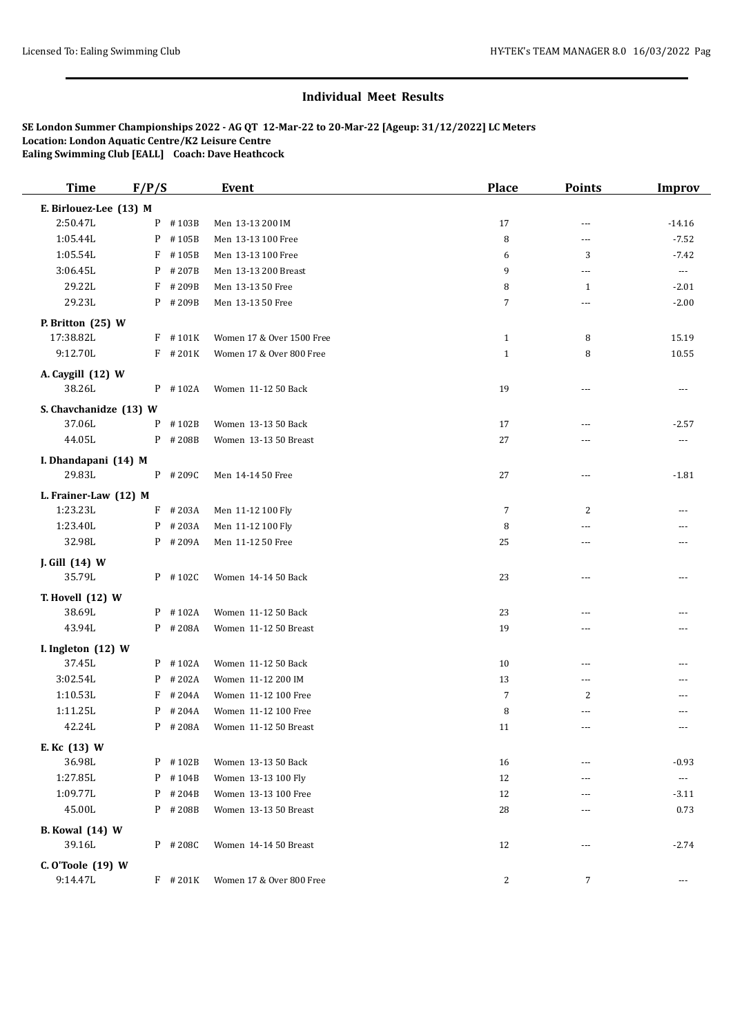## **Individual Meet Results**

**SE London Summer Championships 2022 - AG QT 12-Mar-22 to 20-Mar-22 [Ageup: 31/12/2022] LC Meters Location: London Aquatic Centre/K2 Leisure Centre Ealing Swimming Club [EALL] Coach: Dave Heathcock**

| <b>Time</b>                      | F/P/S |            | <b>Event</b>              | <b>Place</b>   | <b>Points</b>  | <b>Improv</b>         |
|----------------------------------|-------|------------|---------------------------|----------------|----------------|-----------------------|
| E. Birlouez-Lee (13) M           |       |            |                           |                |                |                       |
| 2:50.47L                         |       | P #103B    | Men 13-13 200 IM          | 17             | ---            | $-14.16$              |
| 1:05.44L                         | P     | #105B      | Men 13-13 100 Free        | 8              | ---            | $-7.52$               |
| 1:05.54L                         | F     | #105B      | Men 13-13 100 Free        | 6              | 3              | $-7.42$               |
| 3:06.45L                         | P     | #207B      | Men 13-13 200 Breast      | 9              | ---            | $\scriptstyle\cdots$  |
| 29.22L                           | F     | #209B      | Men 13-13 50 Free         | 8              | 1              | $-2.01$               |
| 29.23L                           |       | P #209B    | Men 13-13 50 Free         | 7              | ---            | $-2.00$               |
| P. Britton (25) W                |       |            |                           |                |                |                       |
| 17:38.82L                        |       | $F$ #101K  | Women 17 & Over 1500 Free | $\mathbf{1}$   | 8              | 15.19                 |
| 9:12.70L                         |       | $F$ # 201K | Women 17 & Over 800 Free  | $\mathbf{1}$   | 8              | 10.55                 |
| A. Caygill (12) W                |       |            |                           |                |                |                       |
| 38.26L                           |       | $P$ #102A  | Women 11-12 50 Back       | 19             | ---            | $---$                 |
|                                  |       |            |                           |                |                |                       |
| S. Chavchanidze (13) W<br>37.06L | P     | #102B      | Women 13-13 50 Back       | 17             | $\overline{a}$ | $-2.57$               |
| 44.05L                           |       | P #208B    | Women 13-13 50 Breast     | 27             |                |                       |
|                                  |       |            |                           |                | ---            | $\cdots$              |
| I. Dhandapani (14) M             |       |            |                           |                |                |                       |
| 29.83L                           |       | $P$ # 209C | Men 14-14 50 Free         | 27             | ---            | $-1.81$               |
| L. Frainer-Law (12) M            |       |            |                           |                |                |                       |
| 1:23.23L                         |       | $F$ # 203A | Men 11-12 100 Fly         | 7              | 2              |                       |
| 1:23.40L                         |       | $P$ # 203A | Men 11-12 100 Fly         | 8              | ---            |                       |
| 32.98L                           |       | P #209A    | Men 11-12 50 Free         | 25             | ---            | $---$                 |
| J. Gill (14) W                   |       |            |                           |                |                |                       |
| 35.79L                           |       | P #102C    | Women 14-14 50 Back       | 23             | ---            |                       |
| T. Hovell (12) W                 |       |            |                           |                |                |                       |
| 38.69L                           |       | $P$ #102A  | Women 11-12 50 Back       | 23             | ---            |                       |
| 43.94L                           |       | P #208A    | Women 11-12 50 Breast     | 19             | ---            |                       |
| I. Ingleton (12) W               |       |            |                           |                |                |                       |
| 37.45L                           |       | $P$ #102A  | Women 11-12 50 Back       | 10             | ---            | ---                   |
| 3:02.54L                         |       | $P$ # 202A | Women 11-12 200 IM        | 13             | ---            | ---                   |
| 1:10.53L                         |       | $F$ # 204A | Women 11-12 100 Free      | $\overline{7}$ | 2              | ---                   |
| 1:11.25L                         |       | $P$ # 204A | Women 11-12 100 Free      | 8              | ---            | ---                   |
| 42.24L                           |       | P #208A    | Women 11-12 50 Breast     | 11             | ---            | $---$                 |
| E. Kc (13) W                     |       |            |                           |                |                |                       |
| 36.98L                           |       | $P$ #102B  | Women 13-13 50 Back       | 16             | ---            | $-0.93$               |
| 1:27.85L                         |       | P #104B    | Women 13-13 100 Fly       | 12             | ---            | $\scriptstyle \cdots$ |
| 1:09.77L                         |       | $P$ # 204B | Women 13-13 100 Free      | 12             | ---            | $-3.11$               |
| 45.00L                           |       | P #208B    | Women 13-13 50 Breast     | 28             | $\cdots$       | 0.73                  |
|                                  |       |            |                           |                |                |                       |
| <b>B.</b> Kowal (14) W<br>39.16L |       | $P$ # 208C | Women 14-14 50 Breast     | 12             | $---$          | $-2.74$               |
|                                  |       |            |                           |                |                |                       |
| C. O'Toole (19) W                |       |            |                           |                |                |                       |
| 9:14.47L                         |       | $F$ # 201K | Women 17 & Over 800 Free  | $\overline{c}$ | 7              | ---                   |